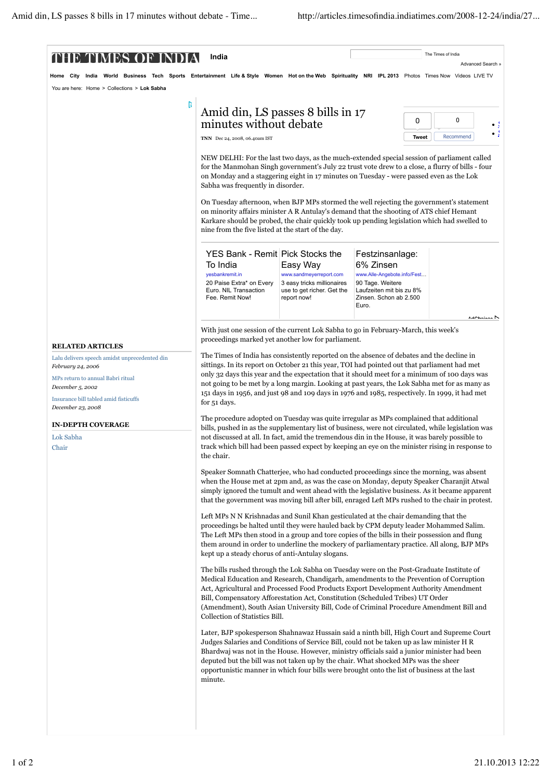